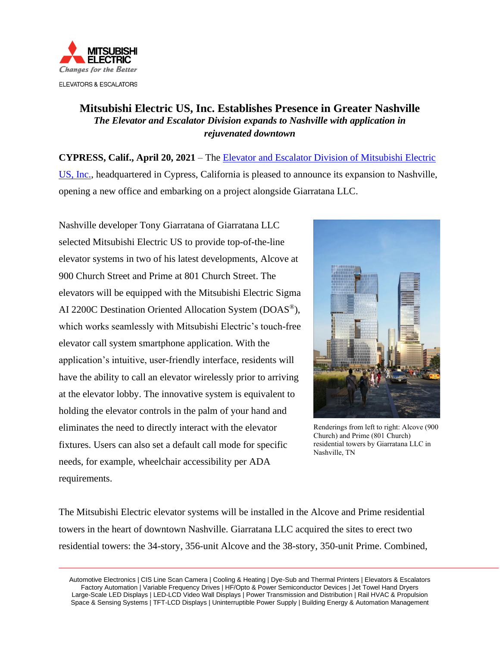

# **Mitsubishi Electric US, Inc. Establishes Presence in Greater Nashville** *The Elevator and Escalator Division expands to Nashville with application in rejuvenated downtown*

**CYPRESS, Calif., April 20, 2021** – The [Elevator and Escalator Division of Mitsubishi Electric](http://www.mitsubishielevator.com/)  [US, Inc.,](http://www.mitsubishielevator.com/) headquartered in Cypress, California is pleased to announce its expansion to Nashville, opening a new office and embarking on a project alongside Giarratana LLC.

Nashville developer Tony Giarratana of Giarratana LLC selected Mitsubishi Electric US to provide top-of-the-line elevator systems in two of his latest developments, Alcove at 900 Church Street and Prime at 801 Church Street. The elevators will be equipped with the Mitsubishi Electric Sigma AI 2200C Destination Oriented Allocation System (DOAS®), which works seamlessly with Mitsubishi Electric's touch-free elevator call system smartphone application. With the application's intuitive, user-friendly interface, residents will have the ability to call an elevator wirelessly prior to arriving at the elevator lobby. The innovative system is equivalent to holding the elevator controls in the palm of your hand and eliminates the need to directly interact with the elevator fixtures. Users can also set a default call mode for specific needs, for example, wheelchair accessibility per ADA requirements.



Renderings from left to right: Alcove (900 Church) and Prime (801 Church) residential towers by Giarratana LLC in Nashville, TN

The Mitsubishi Electric elevator systems will be installed in the Alcove and Prime residential towers in the heart of downtown Nashville. Giarratana LLC acquired the sites to erect two residential towers: the 34-story, 356-unit Alcove and the 38-story, 350-unit Prime. Combined,

Automotive Electronics | CIS Line Scan Camera | Cooling & Heating | Dye-Sub and Thermal Printers | Elevators & Escalators Factory Automation | Variable Frequency Drives | HF/Opto & Power Semiconductor Devices | Jet Towel Hand Dryers Large-Scale LED Displays | LED-LCD Video Wall Displays | Power Transmission and Distribution | Rail HVAC & Propulsion Space & Sensing Systems | TFT-LCD Displays | Uninterruptible Power Supply | Building Energy & Automation Management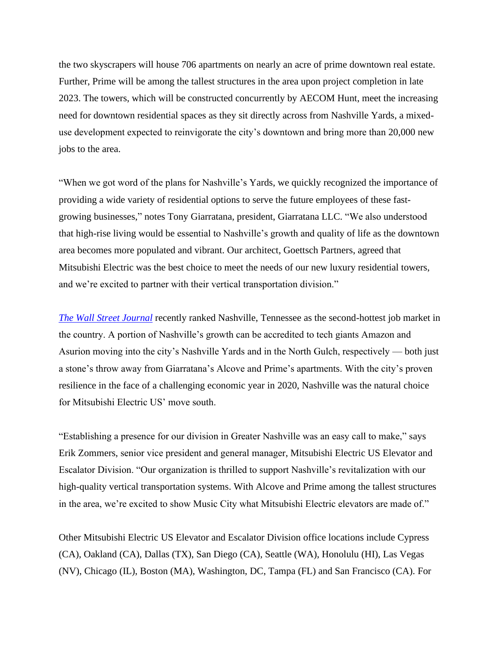the two skyscrapers will house 706 apartments on nearly an acre of prime downtown real estate. Further, Prime will be among the tallest structures in the area upon project completion in late 2023. The towers, which will be constructed concurrently by AECOM Hunt, meet the increasing need for downtown residential spaces as they sit directly across from Nashville Yards, a mixeduse development expected to reinvigorate the city's downtown and bring more than 20,000 new jobs to the area.

"When we got word of the plans for Nashville's Yards, we quickly recognized the importance of providing a wide variety of residential options to serve the future employees of these fastgrowing businesses," notes Tony Giarratana, president, Giarratana LLC. "We also understood that high-rise living would be essential to Nashville's growth and quality of life as the downtown area becomes more populated and vibrant. Our architect, Goettsch Partners, agreed that Mitsubishi Electric was the best choice to meet the needs of our new luxury residential towers, and we're excited to partner with their vertical transportation division."

*[The Wall Street Journal](https://www.wsj.com/articles/austin-nashville-rank-at-top-of-hottest-u-s-job-markets-11582545600?mod=djem10point)* recently ranked Nashville, Tennessee as the second-hottest job market in the country. A portion of Nashville's growth can be accredited to tech giants Amazon and Asurion moving into the city's Nashville Yards and in the North Gulch, respectively — both just a stone's throw away from Giarratana's Alcove and Prime's apartments. With the city's proven resilience in the face of a challenging economic year in 2020, Nashville was the natural choice for Mitsubishi Electric US' move south.

"Establishing a presence for our division in Greater Nashville was an easy call to make," says Erik Zommers, senior vice president and general manager, Mitsubishi Electric US Elevator and Escalator Division. "Our organization is thrilled to support Nashville's revitalization with our high-quality vertical transportation systems. With Alcove and Prime among the tallest structures in the area, we're excited to show Music City what Mitsubishi Electric elevators are made of."

Other Mitsubishi Electric US Elevator and Escalator Division office locations include Cypress (CA), Oakland (CA), Dallas (TX), San Diego (CA), Seattle (WA), Honolulu (HI), Las Vegas (NV), Chicago (IL), Boston (MA), Washington, DC, Tampa (FL) and San Francisco (CA). For